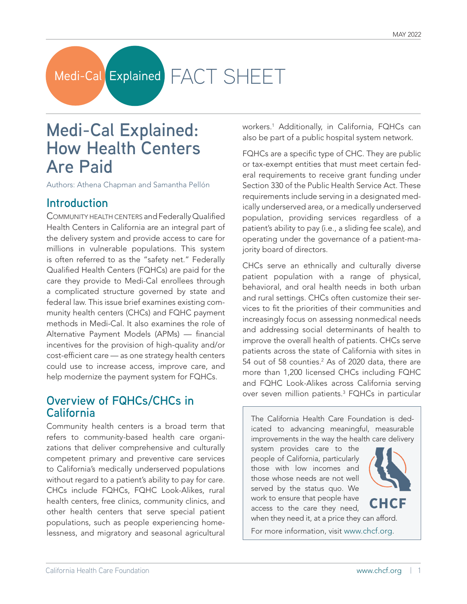# Medi-Cal Explained FACT SHEET

## **Medi-Cal Explained: How Health Centers Are Paid**

Authors: Athena Chapman and Samantha Pellón

## **Introduction**

Community health centers and Federally Qualified Health Centers in California are an integral part of the delivery system and provide access to care for millions in vulnerable populations. This system is often referred to as the "safety net." Federally Qualified Health Centers (FQHCs) are paid for the care they provide to Medi-Cal enrollees through a complicated structure governed by state and federal law. This issue brief examines existing community health centers (CHCs) and FQHC payment methods in Medi-Cal. It also examines the role of Alternative Payment Models (APMs) — financial incentives for the provision of high-quality and/or cost-efficient care — as one strategy health centers could use to increase access, improve care, and help modernize the payment system for FQHCs.

## **Overview of FQHCs/CHCs in California**

Community health centers is a broad term that refers to community-based health care organizations that deliver comprehensive and culturally competent primary and preventive care services to California's medically underserved populations without regard to a patient's ability to pay for care. CHCs include FQHCs, FQHC Look-Alikes, rural health centers, free clinics, community clinics, and other health centers that serve special patient populations, such as people experiencing homelessness, and migratory and seasonal agricultural

workers.1 Additionally, in California, FQHCs can also be part of a public hospital system network.

FQHCs are a specific type of CHC. They are public or tax-exempt entities that must meet certain federal requirements to receive grant funding under Section 330 of the Public Health Service Act. These requirements include serving in a designated medically underserved area, or a medically underserved population, providing services regardless of a patient's ability to pay (i.e., a sliding fee scale), and operating under the governance of a patient-majority board of directors.

CHCs serve an ethnically and culturally diverse patient population with a range of physical, behavioral, and oral health needs in both urban and rural settings. CHCs often customize their services to fit the priorities of their communities and increasingly focus on assessing nonmedical needs and addressing social determinants of health to improve the overall health of patients. CHCs serve patients across the state of California with sites in 54 out of 58 counties. $2$  As of 2020 data, there are more than 1,200 licensed CHCs including FQHC and FQHC Look-Alikes across California serving over seven million patients.<sup>3</sup> FQHCs in particular

The California Health Care Foundation is dedicated to advancing meaningful, measurable improvements in the way the health care delivery system provides care to the

people of California, particularly those with low incomes and those whose needs are not well served by the status quo. We work to ensure that people have access to the care they need, when they need it, at a price they can afford.



CHCF

For more information, visit [www.chcf.org.](http://www.chcf.org)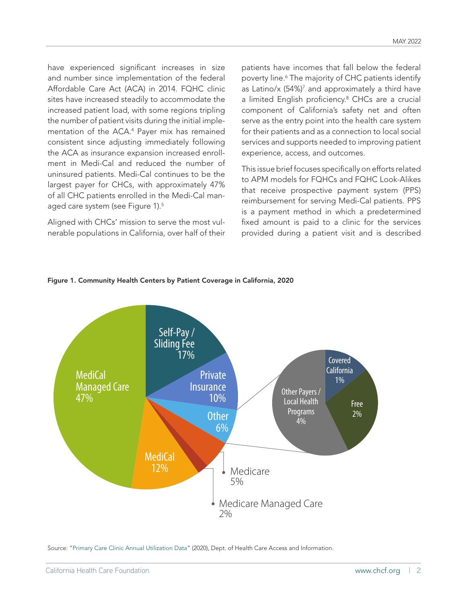have experienced significant increases in size and number since implementation of the federal Affordable Care Act (ACA) in 2014. FQHC clinic sites have increased steadily to accommodate the increased patient load, with some regions tripling the number of patient visits during the initial implementation of the ACA.4 Payer mix has remained consistent since adjusting immediately following the ACA as insurance expansion increased enrollment in Medi-Cal and reduced the number of uninsured patients. Medi-Cal continues to be the largest payer for CHCs, with approximately 47% of all CHC patients enrolled in the Medi-Cal managed care system (see Figure 1).<sup>5</sup>

Aligned with CHCs' mission to serve the most vulnerable populations in California, over half of their patients have incomes that fall below the federal poverty line.6 The majority of CHC patients identify as Latino/x (54%)<sup>7</sup> and approximately a third have a limited English proficiency.<sup>8</sup> CHCs are a crucial component of California's safety net and often serve as the entry point into the health care system for their patients and as a connection to local social services and supports needed to improving patient experience, access, and outcomes.

This issue brief focuses specifically on efforts related to APM models for FQHCs and FQHC Look-Alikes that receive prospective payment system (PPS) reimbursement for serving Medi-Cal patients. PPS is a payment method in which a predetermined fixed amount is paid to a clinic for the services provided during a patient visit and is described



#### Figure 1. Community Health Centers by Patient Coverage in California, 2020

Source: ["Primary Care Clinic Annual Utilization Data"](https://data.chhs.ca.gov/dataset/primary-care-clinic-annual-utilization-data) (2020), Dept. of Health Care Access and Information.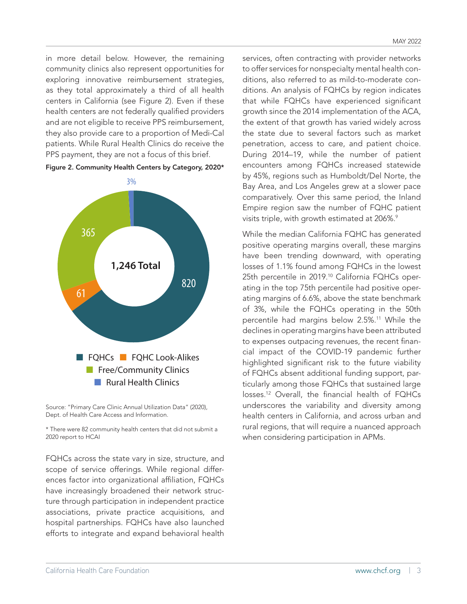in more detail below. However, the remaining community clinics also represent opportunities for exploring innovative reimbursement strategies, as they total approximately a third of all health centers in California (see Figure 2). Even if these health centers are not federally qualified providers and are not eligible to receive PPS reimbursement, they also provide care to a proportion of Medi-Cal patients. While Rural Health Clinics do receive the PPS payment, they are not a focus of this brief.





Source: "Primary Care Clinic Annual Utilization Data" (2020), Dept. of Health Care Access and Information.

\* There were 82 community health centers that did not submit a 2020 report to HCAI

FQHCs across the state vary in size, structure, and scope of service offerings. While regional differences factor into organizational affiliation, FQHCs have increasingly broadened their network structure through participation in independent practice associations, private practice acquisitions, and hospital partnerships. FQHCs have also launched efforts to integrate and expand behavioral health

services, often contracting with provider networks to offer services for nonspecialty mental health conditions, also referred to as mild-to-moderate conditions. An analysis of FQHCs by region indicates that while FQHCs have experienced significant growth since the 2014 implementation of the ACA, the extent of that growth has varied widely across the state due to several factors such as market penetration, access to care, and patient choice. During 2014–19, while the number of patient encounters among FQHCs increased statewide by 45%, regions such as Humboldt/Del Norte, the Bay Area, and Los Angeles grew at a slower pace comparatively. Over this same period, the Inland Empire region saw the number of FQHC patient visits triple, with growth estimated at 206%.<sup>9</sup>

While the median California FQHC has generated positive operating margins overall, these margins have been trending downward, with operating losses of 1.1% found among FQHCs in the lowest 25th percentile in 2019.<sup>10</sup> California FQHCs operating in the top 75th percentile had positive operating margins of 6.6%, above the state benchmark of 3%, while the FQHCs operating in the 50th percentile had margins below 2.5%.<sup>11</sup> While the declines in operating margins have been attributed to expenses outpacing revenues, the recent financial impact of the COVID-19 pandemic further highlighted significant risk to the future viability of FQHCs absent additional funding support, particularly among those FQHCs that sustained large losses.12 Overall, the financial health of FQHCs underscores the variability and diversity among health centers in California, and across urban and rural regions, that will require a nuanced approach when considering participation in APMs.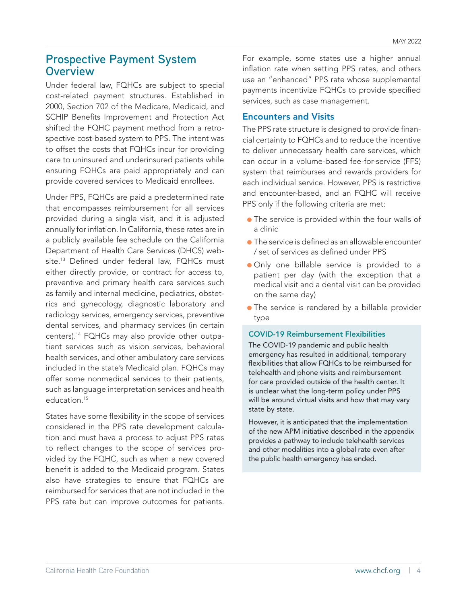## **Prospective Payment System Overview**

Under federal law, FQHCs are subject to special cost-related payment structures. Established in 2000, Section 702 of the Medicare, Medicaid, and SCHIP Benefits Improvement and Protection Act shifted the FQHC payment method from a retrospective cost-based system to PPS. The intent was to offset the costs that FQHCs incur for providing care to uninsured and underinsured patients while ensuring FQHCs are paid appropriately and can provide covered services to Medicaid enrollees.

Under PPS, FQHCs are paid a predetermined rate that encompasses reimbursement for all services provided during a single visit, and it is adjusted annually for inflation. In California, these rates are in a publicly available fee schedule on the California Department of Health Care Services (DHCS) website.13 Defined under federal law, FQHCs must either directly provide, or contract for access to, preventive and primary health care services such as family and internal medicine, pediatrics, obstetrics and gynecology, diagnostic laboratory and radiology services, emergency services, preventive dental services, and pharmacy services (in certain centers).14 FQHCs may also provide other outpatient services such as vision services, behavioral health services, and other ambulatory care services included in the state's Medicaid plan. FQHCs may offer some nonmedical services to their patients, such as language interpretation services and health education.15

States have some flexibility in the scope of services considered in the PPS rate development calculation and must have a process to adjust PPS rates to reflect changes to the scope of services provided by the FQHC, such as when a new covered benefit is added to the Medicaid program. States also have strategies to ensure that FQHCs are reimbursed for services that are not included in the PPS rate but can improve outcomes for patients.

For example, some states use a higher annual inflation rate when setting PPS rates, and others use an "enhanced" PPS rate whose supplemental payments incentivize FQHCs to provide specified services, such as case management.

#### Encounters and Visits

The PPS rate structure is designed to provide financial certainty to FQHCs and to reduce the incentive to deliver unnecessary health care services, which can occur in a volume-based fee-for-service (FFS) system that reimburses and rewards providers for each individual service. However, PPS is restrictive and encounter-based, and an FQHC will receive PPS only if the following criteria are met:

- The service is provided within the four walls of a clinic
- $\bullet$  The service is defined as an allowable encounter / set of services as defined under PPS
- Only one billable service is provided to a patient per day (with the exception that a medical visit and a dental visit can be provided on the same day)
- The service is rendered by a billable provider type

#### COVID-19 Reimbursement Flexibilities

The COVID-19 pandemic and public health emergency has resulted in additional, temporary flexibilities that allow FQHCs to be reimbursed for telehealth and phone visits and reimbursement for care provided outside of the health center. It is unclear what the long-term policy under PPS will be around virtual visits and how that may vary state by state.

However, it is anticipated that the implementation of the new APM initiative described in the appendix provides a pathway to include telehealth services and other modalities into a global rate even after the public health emergency has ended.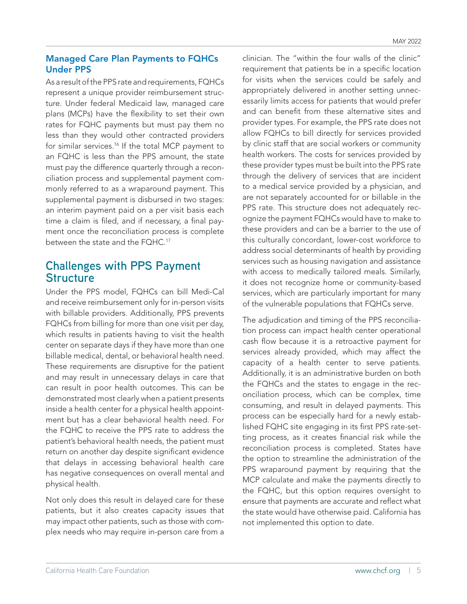## Managed Care Plan Payments to FQHCs Under PPS

As a result of the PPS rate and requirements, FQHCs represent a unique provider reimbursement structure. Under federal Medicaid law, managed care plans (MCPs) have the flexibility to set their own rates for FQHC payments but must pay them no less than they would other contracted providers for similar services.<sup>16</sup> If the total MCP payment to an FQHC is less than the PPS amount, the state must pay the difference quarterly through a reconciliation process and supplemental payment commonly referred to as a wraparound payment. This supplemental payment is disbursed in two stages: an interim payment paid on a per visit basis each time a claim is filed, and if necessary, a final payment once the reconciliation process is complete between the state and the FQHC.17

## **Challenges with PPS Payment Structure**

Under the PPS model, FQHCs can bill Medi-Cal and receive reimbursement only for in-person visits with billable providers. Additionally, PPS prevents FQHCs from billing for more than one visit per day, which results in patients having to visit the health center on separate days if they have more than one billable medical, dental, or behavioral health need. These requirements are disruptive for the patient and may result in unnecessary delays in care that can result in poor health outcomes. This can be demonstrated most clearly when a patient presents inside a health center for a physical health appointment but has a clear behavioral health need. For the FQHC to receive the PPS rate to address the patient's behavioral health needs, the patient must return on another day despite significant evidence that delays in accessing behavioral health care has negative consequences on overall mental and physical health.

Not only does this result in delayed care for these patients, but it also creates capacity issues that may impact other patients, such as those with complex needs who may require in-person care from a

clinician. The "within the four walls of the clinic" requirement that patients be in a specific location for visits when the services could be safely and appropriately delivered in another setting unnecessarily limits access for patients that would prefer and can benefit from these alternative sites and provider types. For example, the PPS rate does not allow FQHCs to bill directly for services provided by clinic staff that are social workers or community health workers. The costs for services provided by these provider types must be built into the PPS rate through the delivery of services that are incident to a medical service provided by a physician, and are not separately accounted for or billable in the PPS rate. This structure does not adequately recognize the payment FQHCs would have to make to these providers and can be a barrier to the use of this culturally concordant, lower-cost workforce to address social determinants of health by providing services such as housing navigation and assistance with access to medically tailored meals. Similarly, it does not recognize home or community-based services, which are particularly important for many of the vulnerable populations that FQHCs serve.

The adjudication and timing of the PPS reconciliation process can impact health center operational cash flow because it is a retroactive payment for services already provided, which may affect the capacity of a health center to serve patients. Additionally, it is an administrative burden on both the FQHCs and the states to engage in the reconciliation process, which can be complex, time consuming, and result in delayed payments. This process can be especially hard for a newly established FQHC site engaging in its first PPS rate-setting process, as it creates financial risk while the reconciliation process is completed. States have the option to streamline the administration of the PPS wraparound payment by requiring that the MCP calculate and make the payments directly to the FQHC, but this option requires oversight to ensure that payments are accurate and reflect what the state would have otherwise paid. California has not implemented this option to date.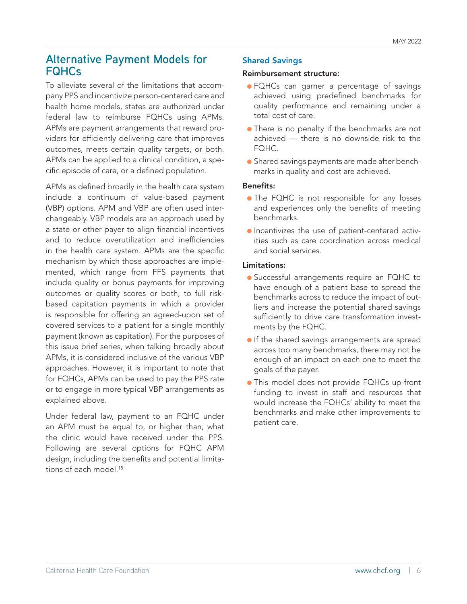## **Alternative Payment Models for FQHCs**

To alleviate several of the limitations that accompany PPS and incentivize person-centered care and health home models, states are authorized under federal law to reimburse FQHCs using APMs. APMs are payment arrangements that reward providers for efficiently delivering care that improves outcomes, meets certain quality targets, or both. APMs can be applied to a clinical condition, a specific episode of care, or a defined population.

APMs as defined broadly in the health care system include a continuum of value-based payment (VBP) options. APM and VBP are often used interchangeably. VBP models are an approach used by a state or other payer to align financial incentives and to reduce overutilization and inefficiencies in the health care system. APMs are the specific mechanism by which those approaches are implemented, which range from FFS payments that include quality or bonus payments for improving outcomes or quality scores or both, to full riskbased capitation payments in which a provider is responsible for offering an agreed-upon set of covered services to a patient for a single monthly payment (known as capitation). For the purposes of this issue brief series, when talking broadly about APMs, it is considered inclusive of the various VBP approaches. However, it is important to note that for FQHCs, APMs can be used to pay the PPS rate or to engage in more typical VBP arrangements as explained above.

Under federal law, payment to an FQHC under an APM must be equal to, or higher than, what the clinic would have received under the PPS. Following are several options for FQHC APM design, including the benefits and potential limitations of each model.<sup>18</sup>

#### Shared Savings

#### Reimbursement structure:

- FQHCs can garner a percentage of savings achieved using predefined benchmarks for quality performance and remaining under a total cost of care.
- There is no penalty if the benchmarks are not achieved — there is no downside risk to the FOHC.
- Shared savings payments are made after benchmarks in quality and cost are achieved.

#### Benefits:

- The FQHC is not responsible for any losses and experiences only the benefits of meeting benchmarks.
- Incentivizes the use of patient-centered activities such as care coordination across medical and social services.

#### Limitations:

- Successful arrangements require an FQHC to have enough of a patient base to spread the benchmarks across to reduce the impact of outliers and increase the potential shared savings sufficiently to drive care transformation investments by the FQHC.
- **•** If the shared savings arrangements are spread across too many benchmarks, there may not be enough of an impact on each one to meet the goals of the payer.
- This model does not provide FQHCs up-front funding to invest in staff and resources that would increase the FQHCs' ability to meet the benchmarks and make other improvements to patient care.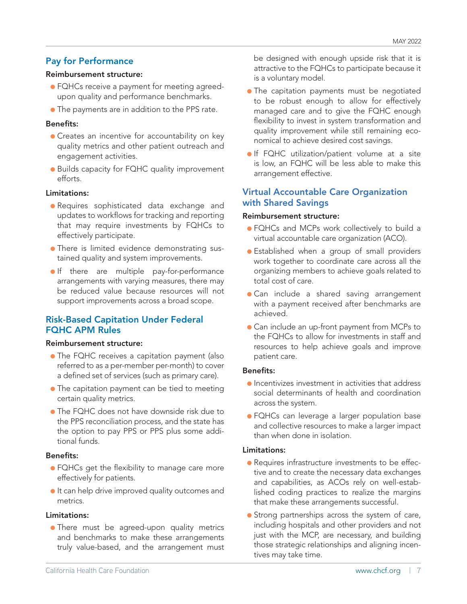## Pay for Performance

#### Reimbursement structure:

- FQHCs receive a payment for meeting agreedupon quality and performance benchmarks.
- The payments are in addition to the PPS rate.

#### Benefits:

- Creates an incentive for accountability on key quality metrics and other patient outreach and engagement activities.
- Builds capacity for FQHC quality improvement efforts.

#### Limitations:

- Requires sophisticated data exchange and updates to workflows for tracking and reporting that may require investments by FQHCs to effectively participate.
- There is limited evidence demonstrating sustained quality and system improvements.
- **•** If there are multiple pay-for-performance arrangements with varying measures, there may be reduced value because resources will not support improvements across a broad scope.

#### Risk-Based Capitation Under Federal FQHC APM Rules

#### Reimbursement structure:

- The FQHC receives a capitation payment (also referred to as a per-member per-month) to cover a defined set of services (such as primary care).
- The capitation payment can be tied to meeting certain quality metrics.
- The FQHC does not have downside risk due to the PPS reconciliation process, and the state has the option to pay PPS or PPS plus some additional funds.

#### Benefits:

- FQHCs get the flexibility to manage care more effectively for patients.
- It can help drive improved quality outcomes and metrics.

#### Limitations:

• There must be agreed-upon quality metrics and benchmarks to make these arrangements truly value-based, and the arrangement must be designed with enough upside risk that it is attractive to the FQHCs to participate because it is a voluntary model.

- **•** The capitation payments must be negotiated to be robust enough to allow for effectively managed care and to give the FQHC enough flexibility to invest in system transformation and quality improvement while still remaining economical to achieve desired cost savings.
- If FQHC utilization/patient volume at a site is low, an FQHC will be less able to make this arrangement effective.

#### Virtual Accountable Care Organization with Shared Savings

#### Reimbursement structure:

- FQHCs and MCPs work collectively to build a virtual accountable care organization (ACO).
- Established when a group of small providers work together to coordinate care across all the organizing members to achieve goals related to total cost of care.
- Can include a shared saving arrangement with a payment received after benchmarks are achieved.
- Can include an up-front payment from MCPs to the FQHCs to allow for investments in staff and resources to help achieve goals and improve patient care.

#### Benefits:

- Incentivizes investment in activities that address social determinants of health and coordination across the system.
- FQHCs can leverage a larger population base and collective resources to make a larger impact than when done in isolation.

#### Limitations:

- Requires infrastructure investments to be effective and to create the necessary data exchanges and capabilities, as ACOs rely on well-established coding practices to realize the margins that make these arrangements successful.
- Strong partnerships across the system of care, including hospitals and other providers and not just with the MCP, are necessary, and building those strategic relationships and aligning incentives may take time.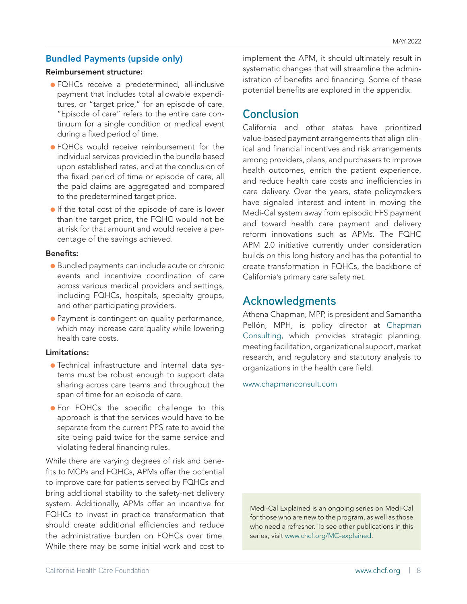#### Bundled Payments (upside only)

#### Reimbursement structure:

- FQHCs receive a predetermined, all-inclusive payment that includes total allowable expenditures, or "target price," for an episode of care. "Episode of care" refers to the entire care continuum for a single condition or medical event during a fixed period of time.
- FQHCs would receive reimbursement for the individual services provided in the bundle based upon established rates, and at the conclusion of the fixed period of time or episode of care, all the paid claims are aggregated and compared to the predetermined target price.
- **•** If the total cost of the episode of care is lower than the target price, the FQHC would not be at risk for that amount and would receive a percentage of the savings achieved.

#### Benefits:

- Bundled payments can include acute or chronic events and incentivize coordination of care across various medical providers and settings, including FQHCs, hospitals, specialty groups, and other participating providers.
- Payment is contingent on quality performance, which may increase care quality while lowering health care costs.

#### Limitations:

- Technical infrastructure and internal data systems must be robust enough to support data sharing across care teams and throughout the span of time for an episode of care.
- For FQHCs the specific challenge to this approach is that the services would have to be separate from the current PPS rate to avoid the site being paid twice for the same service and violating federal financing rules.

While there are varying degrees of risk and benefits to MCPs and FQHCs, APMs offer the potential to improve care for patients served by FQHCs and bring additional stability to the safety-net delivery system. Additionally, APMs offer an incentive for FQHCs to invest in practice transformation that should create additional efficiencies and reduce the administrative burden on FQHCs over time. While there may be some initial work and cost to

implement the APM, it should ultimately result in systematic changes that will streamline the administration of benefits and financing. Some of these potential benefits are explored in the appendix.

## **Conclusion**

California and other states have prioritized value-based payment arrangements that align clinical and financial incentives and risk arrangements among providers, plans, and purchasers to improve health outcomes, enrich the patient experience, and reduce health care costs and inefficiencies in care delivery. Over the years, state policymakers have signaled interest and intent in moving the Medi-Cal system away from episodic FFS payment and toward health care payment and delivery reform innovations such as APMs. The FQHC APM 2.0 initiative currently under consideration builds on this long history and has the potential to create transformation in FQHCs, the backbone of California's primary care safety net.

## **Acknowledgments**

Athena Chapman, MPP, is president and Samantha Pellón, MPH, is policy director at [Chapman](https://www.chapmanconsult.com/) [Consulting](https://www.chapmanconsult.com/), which provides strategic planning, meeting facilitation, organizational support, market research, and regulatory and statutory analysis to organizations in the health care field.

[www.chapmanconsult.com](http://www.chapmanconsult.com)

Medi-Cal Explained is an ongoing series on Medi-Cal for those who are new to the program, as well as those who need a refresher. To see other publications in this series, visit [www.chcf.org/MC-explained](http://www.chcf.org/MC-explained).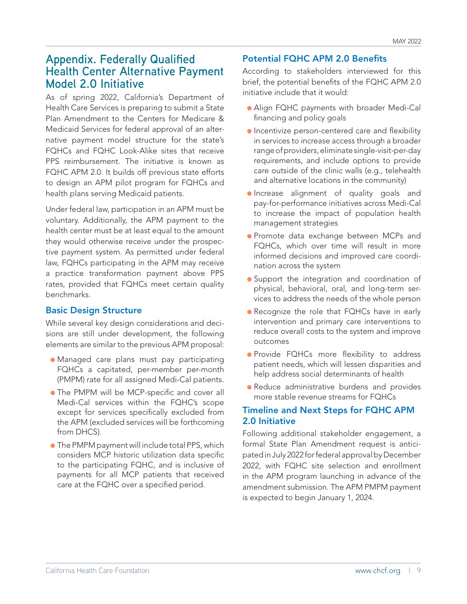## **Appendix. Federally Qualified Health Center Alternative Payment Model 2.0 Initiative**

As of spring 2022, California's Department of Health Care Services is preparing to submit a State Plan Amendment to the Centers for Medicare & Medicaid Services for federal approval of an alternative payment model structure for the state's FQHCs and FQHC Look-Alike sites that receive PPS reimbursement. The initiative is known as FQHC APM 2.0. It builds off previous state efforts to design an APM pilot program for FQHCs and health plans serving Medicaid patients.

Under federal law, participation in an APM must be voluntary. Additionally, the APM payment to the health center must be at least equal to the amount they would otherwise receive under the prospective payment system. As permitted under federal law, FQHCs participating in the APM may receive a practice transformation payment above PPS rates, provided that FQHCs meet certain quality benchmarks.

#### Basic Design Structure

While several key design considerations and decisions are still under development, the following elements are similar to the previous APM proposal:

- Managed care plans must pay participating FQHCs a capitated, per-member per-month (PMPM) rate for all assigned Medi-Cal patients.
- **The PMPM will be MCP-specific and cover all** Medi-Cal services within the FQHC's scope except for services specifically excluded from the APM (excluded services will be forthcoming from DHCS).
- The PMPM payment will include total PPS, which considers MCP historic utilization data specific to the participating FQHC, and is inclusive of payments for all MCP patients that received care at the FQHC over a specified period.

#### Potential FQHC APM 2.0 Benefits

According to stakeholders interviewed for this brief, the potential benefits of the FQHC APM 2.0 initiative include that it would:

- Align FQHC payments with broader Medi-Cal financing and policy goals
- Incentivize person-centered care and flexibility in services to increase access through a broader range of providers, eliminate single-visit-per-day requirements, and include options to provide care outside of the clinic walls (e.g., telehealth and alternative locations in the community)
- Increase alignment of quality goals and pay-for-performance initiatives across Medi-Cal to increase the impact of population health management strategies
- Promote data exchange between MCPs and FQHCs, which over time will result in more informed decisions and improved care coordination across the system
- Support the integration and coordination of physical, behavioral, oral, and long-term services to address the needs of the whole person
- Recognize the role that FQHCs have in early intervention and primary care interventions to reduce overall costs to the system and improve outcomes
- Provide FQHCs more flexibility to address patient needs, which will lessen disparities and help address social determinants of health
- Reduce administrative burdens and provides more stable revenue streams for FQHCs

#### Timeline and Next Steps for FQHC APM 2.0 Initiative

Following additional stakeholder engagement, a formal State Plan Amendment request is anticipated in July 2022 for federal approval by December 2022, with FQHC site selection and enrollment in the APM program launching in advance of the amendment submission. The APM PMPM payment is expected to begin January 1, 2024.